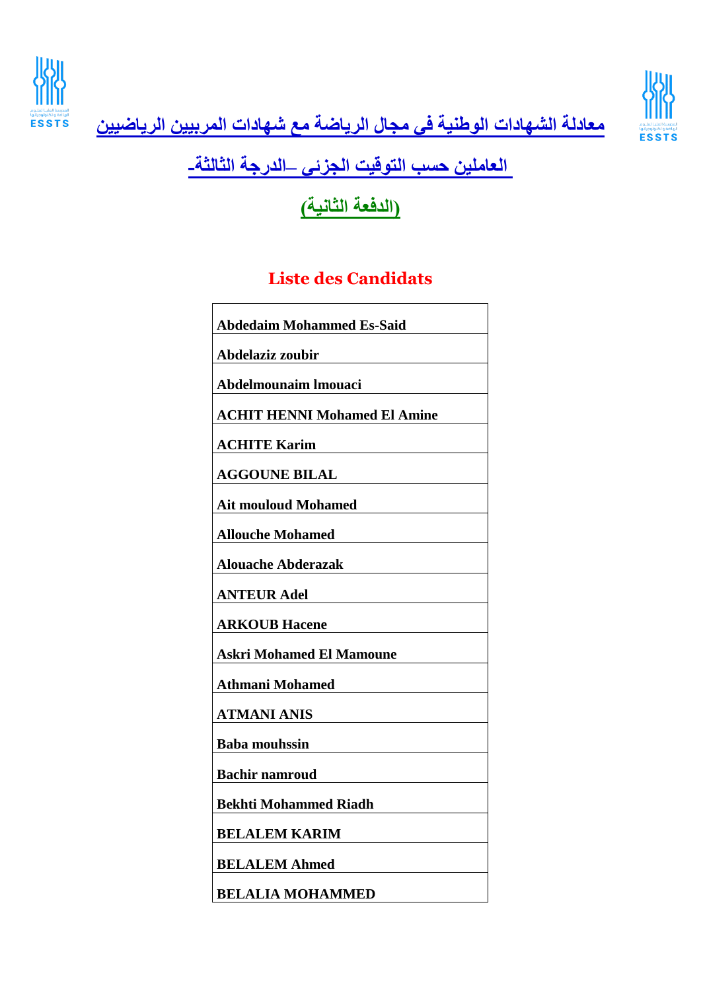



**معادلة الشهادات الوطنية في مجال الرياضة مع شهادات المربيين الرياضيين**

## **العاملين حسب التوقيت الجزئي –الدرجة الثالثة-**

**)الدفعة الثانية(**

## **Liste des Candidats**

| <b>Abdedaim Mohammed Es-Said</b>    |
|-------------------------------------|
| Abdelaziz zoubir                    |
|                                     |
| Abdelmounaim Imouaci                |
| <b>ACHIT HENNI Mohamed El Amine</b> |
| <b>ACHITE Karim</b>                 |
|                                     |
| <b>AGGOUNE BILAL</b>                |
| <b>Ait mouloud Mohamed</b>          |
|                                     |
| <b>Allouche Mohamed</b>             |
| <b>Alouache Abderazak</b>           |
| <b>ANTEUR Adel</b>                  |
| <b>ARKOUB Hacene</b>                |
| <b>Askri Mohamed El Mamoune</b>     |
|                                     |
| <b>Athmani Mohamed</b>              |
| <b>ATMANI ANIS</b>                  |
| <b>Baba mouhssin</b>                |
|                                     |
| <b>Bachir namroud</b>               |
| <b>Bekhti Mohammed Riadh</b>        |
| <b>BELALEM KARIM</b>                |
|                                     |
| <b>BELALEM Ahmed</b>                |
| <b>BELALIA MOHAMMED</b>             |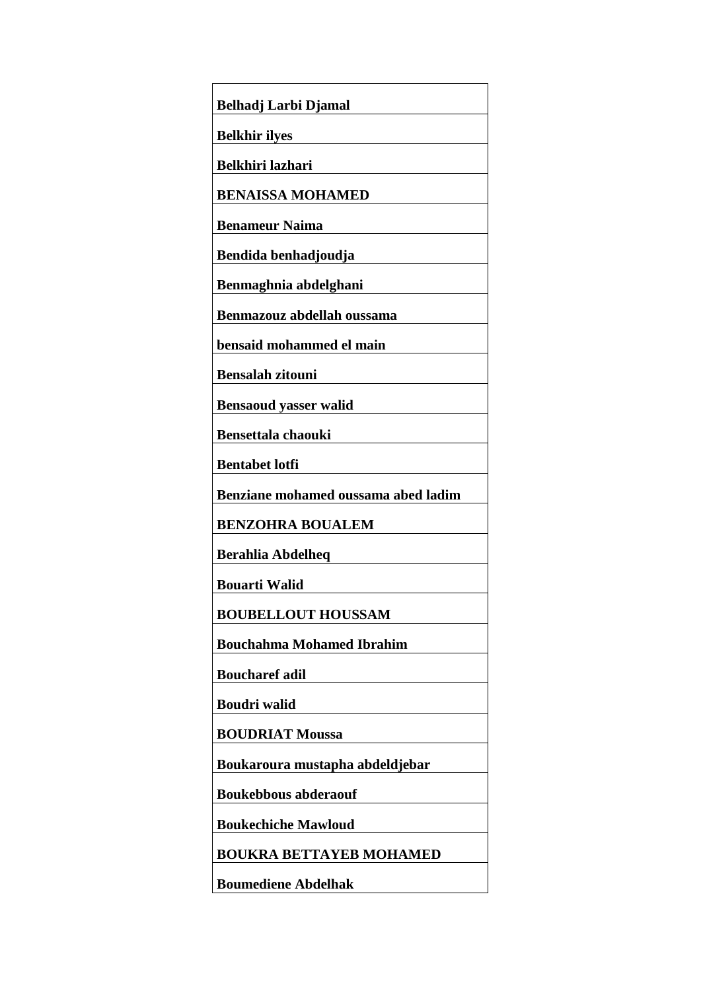| Belhadj Larbi Djamal                       |
|--------------------------------------------|
| <b>Belkhir ilyes</b>                       |
| Belkhiri lazhari                           |
| <b>BENAISSA MOHAMED</b>                    |
| <b>Benameur Naima</b>                      |
| Bendida benhadjoudja                       |
| Benmaghnia abdelghani                      |
| Benmazouz abdellah oussama                 |
| bensaid mohammed el main                   |
| <b>Bensalah zitouni</b>                    |
| <b>Bensaoud yasser walid</b>               |
| <b>Bensettala chaouki</b>                  |
| <b>Bentabet lotfi</b>                      |
|                                            |
| <b>Benziane mohamed oussama abed ladim</b> |
| <b>BENZOHRA BOUALEM</b>                    |
| Berahlia Abdelheq                          |
| <b>Bouarti Walid</b>                       |
| <b>BOUBELLOUT HOUSSAM</b>                  |
| <b>Bouchahma Mohamed Ibrahim</b>           |
| <b>Boucharef adil</b>                      |
| Boudri walid                               |
| <b>BOUDRIAT Moussa</b>                     |
| Boukaroura mustapha abdeldjebar            |
| <b>Boukebbous abderaouf</b>                |
| <b>Boukechiche Mawloud</b>                 |
| <b>BOUKRA BETTAYEB MOHAMED</b>             |
| <b>Boumediene Abdelhak</b>                 |
|                                            |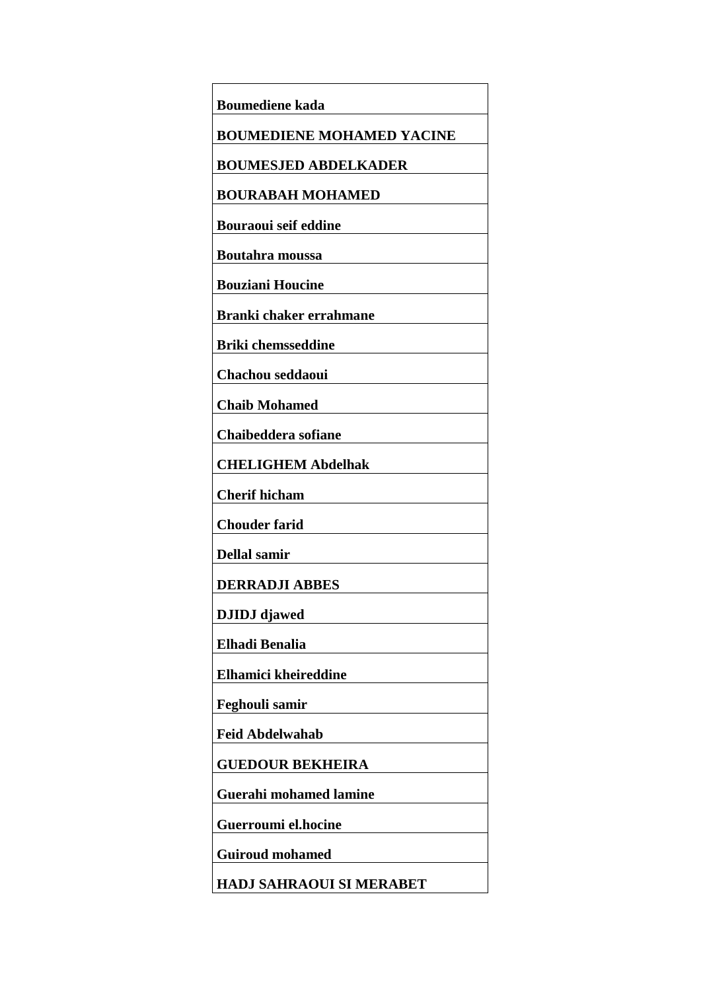| Boumediene kada                  |
|----------------------------------|
| <b>BOUMEDIENE MOHAMED YACINE</b> |
| <b>BOUMESJED ABDELKADER</b>      |
| <b>BOURABAH MOHAMED</b>          |
| <b>Bouraoui seif eddine</b>      |
| <b>Boutahra moussa</b>           |
| <b>Bouziani Houcine</b>          |
| Branki chaker errahmane          |
| <b>Briki chemsseddine</b>        |
| Chachou seddaoui                 |
| <b>Chaib Mohamed</b>             |
|                                  |
| Chaibeddera sofiane              |
| <b>CHELIGHEM Abdelhak</b>        |
| <b>Cherif hicham</b>             |
| <b>Chouder farid</b>             |
| Dellal samir                     |
| <b>DERRADJI ABBES</b>            |
| <b>DJIDJ</b> djawed              |
| Elhadi Benalia                   |
| Elhamici kheireddine             |
| Feghouli samir                   |
| Feid Abdelwahab                  |
| <b>GUEDOUR BEKHEIRA</b>          |
|                                  |
| <b>Guerahi mohamed lamine</b>    |
| Guerroumi el.hocine              |
| <b>Guiroud mohamed</b>           |
| <b>HADJ SAHRAOUI SI MERABET</b>  |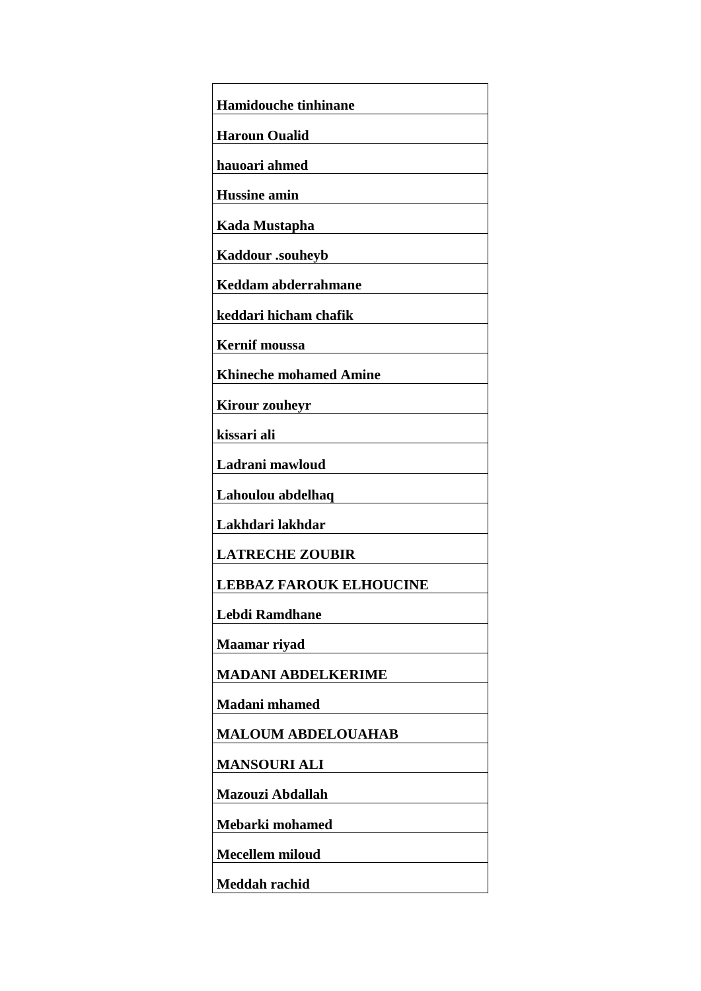| <b>Hamidouche tinhinane</b>    |
|--------------------------------|
| <b>Haroun Oualid</b>           |
| hauoari ahmed                  |
| <b>Hussine amin</b>            |
| Kada Mustapha                  |
| Kaddour .souheyb               |
| Keddam abderrahmane            |
| keddari hicham chafik          |
| <b>Kernif moussa</b>           |
| <b>Khineche mohamed Amine</b>  |
| <b>Kirour zouheyr</b>          |
| kissari ali                    |
| Ladrani mawloud                |
| Lahoulou abdelhaq              |
| Lakhdari lakhdar               |
| <b>LATRECHE ZOUBIR</b>         |
| <b>LEBBAZ FAROUK ELHOUCINE</b> |
| <b>Lebdi Ramdhane</b>          |
| <b>Maamar</b> rivad            |
| <b>MADANI ABDELKERIME</b>      |
| <b>Madani</b> mhamed           |
| <b>MALOUM ABDELOUAHAB</b>      |
| <b>MANSOURI ALI</b>            |
| Mazouzi Abdallah               |
| Mebarki mohamed                |
| <b>Mecellem miloud</b>         |
| Meddah rachid                  |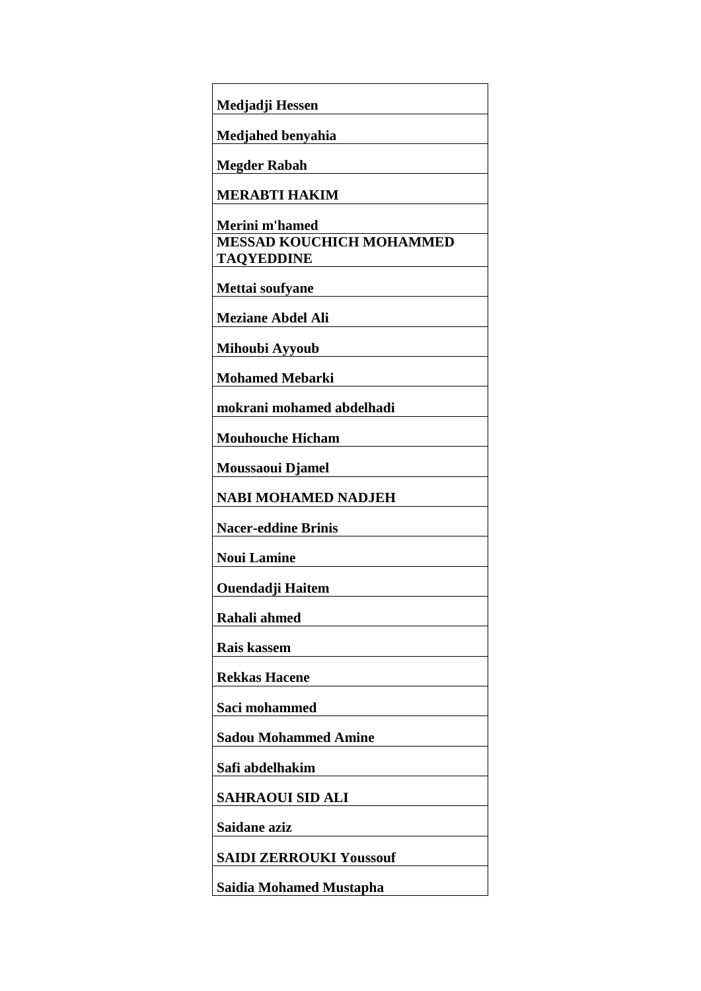| Medjadji Hessen                                      |
|------------------------------------------------------|
| Medjahed benyahia                                    |
| <b>Megder Rabah</b>                                  |
| <b>MERABTI HAKIM</b>                                 |
| Merini m'hamed                                       |
| <b>MESSAD KOUCHICH MOHAMMED</b><br><b>TAQYEDDINE</b> |
| Mettai soufyane                                      |
| <b>Meziane Abdel Ali</b>                             |
| Mihoubi Ayyoub                                       |
| <b>Mohamed Mebarki</b>                               |
| mokrani mohamed abdelhadi                            |
| <b>Mouhouche Hicham</b>                              |
| Moussaoui Djamel                                     |
| <b>NABI MOHAMED NADJEH</b>                           |
| <b>Nacer-eddine Brinis</b>                           |
| <b>Noui Lamine</b>                                   |
| <b>Ouendadji Haitem</b>                              |
| Rahali ahmed                                         |
| Rais kassem                                          |
| <b>Rekkas Hacene</b>                                 |
| Saci mohammed                                        |
| <b>Sadou Mohammed Amine</b>                          |
| Safi abdelhakim                                      |
| <b>SAHRAOUI SID ALI</b>                              |
| Saidane aziz                                         |
| <b>SAIDI ZERROUKI Youssouf</b>                       |
| <b>Saidia Mohamed Mustapha</b>                       |
|                                                      |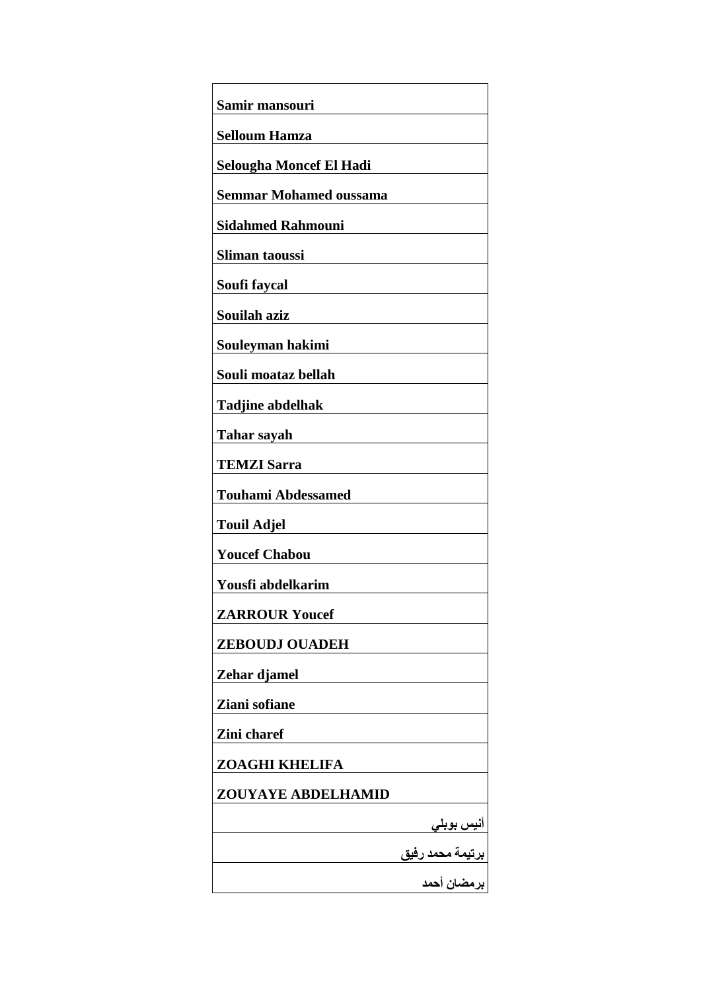| Samir mansouri                                        |
|-------------------------------------------------------|
| <b>Selloum Hamza</b>                                  |
| <b>Selougha Moncef El Hadi</b>                        |
| <b>Semmar Mohamed oussama</b>                         |
| <b>Sidahmed Rahmouni</b>                              |
| Sliman taoussi                                        |
| Soufi faycal                                          |
| Souilah aziz                                          |
| Souleyman hakimi                                      |
| Souli moataz bellah                                   |
| <b>Tadjine abdelhak</b>                               |
| <b>Tahar sayah</b>                                    |
| <b>TEMZI Sarra</b>                                    |
| <b>Touhami Abdessamed</b>                             |
| <b>Touil Adjel</b>                                    |
| <b>Youcef Chabou</b>                                  |
| Yousfi abdelkarim                                     |
| <b>ZARROUR Youcef</b>                                 |
| <b>ZEBOUDJ OUADEH</b>                                 |
| Zehar djamel                                          |
| Ziani sofiane                                         |
| Zini charef                                           |
| <b>ZOAGHI KHELIFA</b>                                 |
| ZOUYAYE ABDELHAMID                                    |
|                                                       |
| أنيس بوبل <i>ي</i><br>برتيمة محمد رفيق<br>برمضان أحمد |
|                                                       |